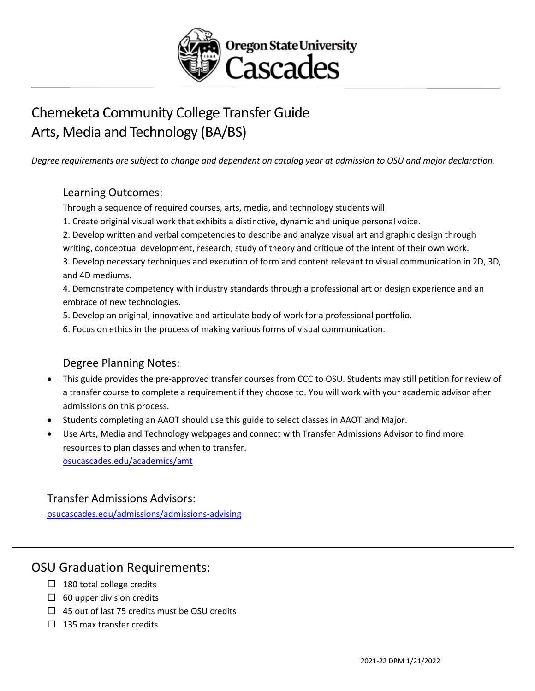

# Chemeketa Community College Transfer Guide Arts, Media and Technology (BA/BS)

*Degree requirements are subject to change and dependent on catalog year at admission to OSU and major declaration.* 

#### Learning Outcomes:

Through a sequence of required courses, arts, media, and technology students will:

- 1. Create original visual work that exhibits a distinctive, dynamic and unique personal voice.
- 2. Develop written and verbal competencies to describe and analyze visual art and graphic design through writing, conceptual development, research, study of theory and critique of the intent of their own work.

3. Develop necessary techniques and execution of form and content relevant to visual communication in 2D, 3D, and 4D mediums.

4. Demonstrate competency with industry standards through a professional art or design experience and an embrace of new technologies.

- 5. Develop an original, innovative and articulate body of work for a professional portfolio.
- 6. Focus on ethics in the process of making various forms of visual communication.

### Degree Planning Notes:

- This guide provides the pre-approved transfer courses from CCC to OSU. Students may still petition for review of a transfer course to complete a requirement if they choose to. You will work with your academic advisor after admissions on this process.
- Students completing an AAOT should use this guide to select classes in AAOT and Major.
- Use Arts, Media and Technology webpages and connect with Transfer Admissions Advisor to find more resources to plan classes and when to transfer. [osucascades.edu/academics/amt](https://osucascades.edu/academics/amt)

#### Transfer Admissions Advisors:

[osucascades.edu/admissions/admissions-advising](https://osucascades.edu/admissions/admissions-advising)

## OSU Graduation Requirements:

- $\Box$  180 total college credits
- $\Box$  60 upper division credits
- $\Box$  45 out of last 75 credits must be OSU credits
- $\Box$  135 max transfer credits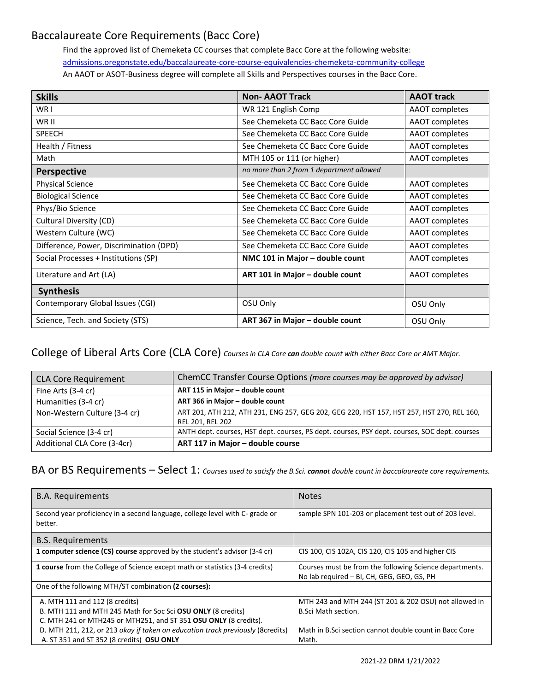## Baccalaureate Core Requirements (Bacc Core)

Find the approved list of Chemeketa CC courses that complete Bacc Core at the following website: admissions.oregonstate.edu/baccalaureate-core-course-equivalencies-chemeketa-community-college An AAOT or ASOT-Business degree will complete all Skills and Perspectives courses in the Bacc Core.

| <b>Skills</b>                           | <b>Non-AAOT Track</b>                    | <b>AAOT track</b> |
|-----------------------------------------|------------------------------------------|-------------------|
| WR I                                    | WR 121 English Comp                      | AAOT completes    |
| WR II                                   | See Chemeketa CC Bacc Core Guide         | AAOT completes    |
| <b>SPEECH</b>                           | See Chemeketa CC Bacc Core Guide         | AAOT completes    |
| Health / Fitness                        | See Chemeketa CC Bacc Core Guide         | AAOT completes    |
| Math                                    | MTH 105 or 111 (or higher)               | AAOT completes    |
| <b>Perspective</b>                      | no more than 2 from 1 department allowed |                   |
| <b>Physical Science</b>                 | See Chemeketa CC Bacc Core Guide         | AAOT completes    |
| <b>Biological Science</b>               | See Chemeketa CC Bacc Core Guide         | AAOT completes    |
| Phys/Bio Science                        | See Chemeketa CC Bacc Core Guide         | AAOT completes    |
| Cultural Diversity (CD)                 | See Chemeketa CC Bacc Core Guide         | AAOT completes    |
| Western Culture (WC)                    | See Chemeketa CC Bacc Core Guide         | AAOT completes    |
| Difference, Power, Discrimination (DPD) | See Chemeketa CC Bacc Core Guide         | AAOT completes    |
| Social Processes + Institutions (SP)    | NMC 101 in Major - double count          | AAOT completes    |
| Literature and Art (LA)                 | ART 101 in Major - double count          | AAOT completes    |
| <b>Synthesis</b>                        |                                          |                   |
| Contemporary Global Issues (CGI)        | OSU Only                                 | OSU Only          |
| Science, Tech. and Society (STS)        | ART 367 in Major - double count          | OSU Only          |

#### College of Liberal Arts Core (CLA Core) *Courses in CLA Core can double count with either Bacc Core or AMT Major.*

| <b>CLA Core Requirement</b>  | ChemCC Transfer Course Options (more courses may be approved by advisor)                                      |
|------------------------------|---------------------------------------------------------------------------------------------------------------|
| Fine Arts (3-4 cr)           | ART 115 in Major - double count                                                                               |
| Humanities (3-4 cr)          | ART 366 in Major - double count                                                                               |
| Non-Western Culture (3-4 cr) | ART 201, ATH 212, ATH 231, ENG 257, GEG 202, GEG 220, HST 157, HST 257, HST 270, REL 160,<br>REL 201, REL 202 |
| Social Science (3-4 cr)      | ANTH dept. courses, HST dept. courses, PS dept. courses, PSY dept. courses, SOC dept. courses                 |
| Additional CLA Core (3-4cr)  | ART 117 in Major - double course                                                                              |

#### BA or BS Requirements – Select 1: *Courses used to satisfy the B.Sci. canno<sup>t</sup> double count in baccalaureate core requirements.*

| <b>B.A. Requirements</b>                                                                | <b>Notes</b>                                                                                          |
|-----------------------------------------------------------------------------------------|-------------------------------------------------------------------------------------------------------|
| Second year proficiency in a second language, college level with C- grade or<br>better. | sample SPN 101-203 or placement test out of 203 level.                                                |
| <b>B.S. Requirements</b>                                                                |                                                                                                       |
| 1 computer science (CS) course approved by the student's advisor (3-4 cr)               | CIS 100, CIS 102A, CIS 120, CIS 105 and higher CIS                                                    |
| <b>1 course</b> from the College of Science except math or statistics (3-4 credits)     | Courses must be from the following Science departments.<br>No lab required - BI, CH, GEG, GEO, GS, PH |
| One of the following MTH/ST combination (2 courses):                                    |                                                                                                       |
| A. MTH 111 and 112 (8 credits)                                                          | MTH 243 and MTH 244 (ST 201 & 202 OSU) not allowed in                                                 |
| B. MTH 111 and MTH 245 Math for Soc Sci OSU ONLY (8 credits)                            | <b>B.Sci Math section.</b>                                                                            |
| C. MTH 241 or MTH245 or MTH251, and ST 351 OSU ONLY (8 credits).                        |                                                                                                       |
| D. MTH 211, 212, or 213 okay if taken on education track previously (8credits)          | Math in B.Sci section cannot double count in Bacc Core                                                |
| A. ST 351 and ST 352 (8 credits) OSU ONLY                                               | Math.                                                                                                 |